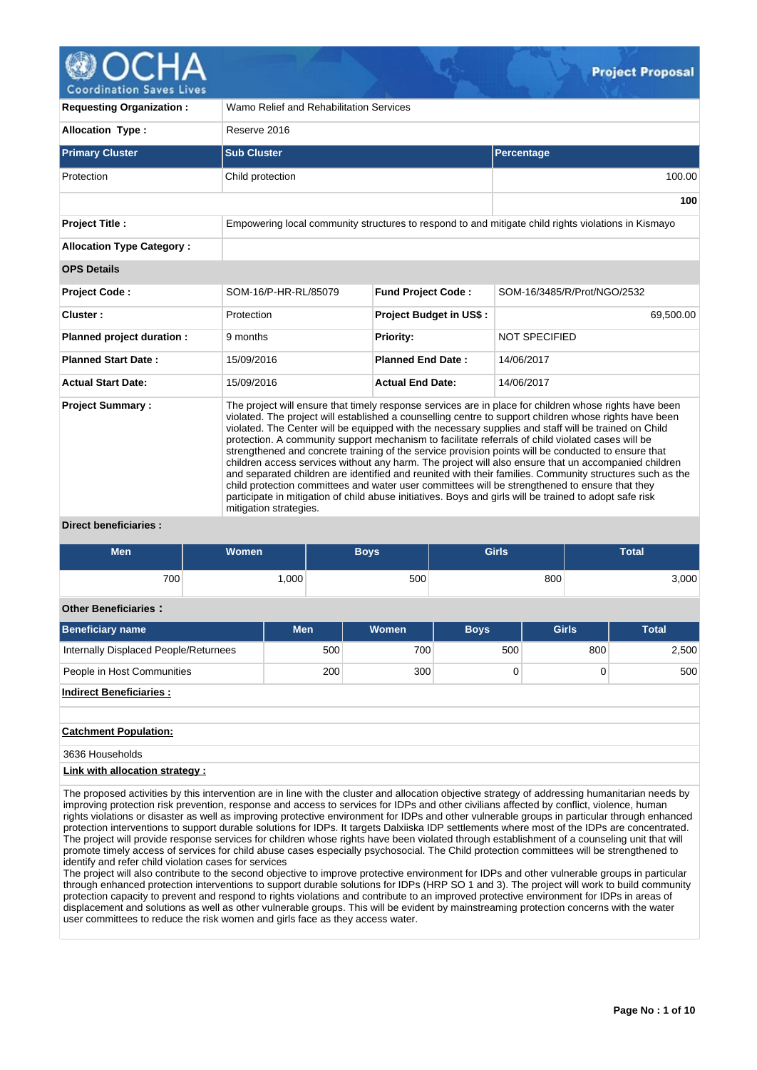

| <b>Requesting Organization:</b>                   | Wamo Relief and Rehabilitation Services                                                                                                                                                                                                                                                                                                                                                                                                                                                                                                                                                                                                                                                                                                                                                                                                                                                                                                                                                         |                                |                                                                                                     |  |  |  |  |  |  |
|---------------------------------------------------|-------------------------------------------------------------------------------------------------------------------------------------------------------------------------------------------------------------------------------------------------------------------------------------------------------------------------------------------------------------------------------------------------------------------------------------------------------------------------------------------------------------------------------------------------------------------------------------------------------------------------------------------------------------------------------------------------------------------------------------------------------------------------------------------------------------------------------------------------------------------------------------------------------------------------------------------------------------------------------------------------|--------------------------------|-----------------------------------------------------------------------------------------------------|--|--|--|--|--|--|
| <b>Allocation Type:</b>                           | Reserve 2016                                                                                                                                                                                                                                                                                                                                                                                                                                                                                                                                                                                                                                                                                                                                                                                                                                                                                                                                                                                    |                                |                                                                                                     |  |  |  |  |  |  |
| <b>Primary Cluster</b>                            | <b>Sub Cluster</b>                                                                                                                                                                                                                                                                                                                                                                                                                                                                                                                                                                                                                                                                                                                                                                                                                                                                                                                                                                              |                                | Percentage                                                                                          |  |  |  |  |  |  |
| Protection                                        | Child protection                                                                                                                                                                                                                                                                                                                                                                                                                                                                                                                                                                                                                                                                                                                                                                                                                                                                                                                                                                                |                                | 100.00                                                                                              |  |  |  |  |  |  |
|                                                   |                                                                                                                                                                                                                                                                                                                                                                                                                                                                                                                                                                                                                                                                                                                                                                                                                                                                                                                                                                                                 |                                | 100                                                                                                 |  |  |  |  |  |  |
| <b>Project Title:</b>                             |                                                                                                                                                                                                                                                                                                                                                                                                                                                                                                                                                                                                                                                                                                                                                                                                                                                                                                                                                                                                 |                                | Empowering local community structures to respond to and mitigate child rights violations in Kismayo |  |  |  |  |  |  |
| <b>Allocation Type Category:</b>                  |                                                                                                                                                                                                                                                                                                                                                                                                                                                                                                                                                                                                                                                                                                                                                                                                                                                                                                                                                                                                 |                                |                                                                                                     |  |  |  |  |  |  |
| <b>OPS Details</b>                                |                                                                                                                                                                                                                                                                                                                                                                                                                                                                                                                                                                                                                                                                                                                                                                                                                                                                                                                                                                                                 |                                |                                                                                                     |  |  |  |  |  |  |
| <b>Project Code:</b>                              | SOM-16/P-HR-RL/85079                                                                                                                                                                                                                                                                                                                                                                                                                                                                                                                                                                                                                                                                                                                                                                                                                                                                                                                                                                            | <b>Fund Project Code:</b>      | SOM-16/3485/R/Prot/NGO/2532                                                                         |  |  |  |  |  |  |
| Cluster:                                          | Protection                                                                                                                                                                                                                                                                                                                                                                                                                                                                                                                                                                                                                                                                                                                                                                                                                                                                                                                                                                                      | <b>Project Budget in US\$:</b> | 69,500.00                                                                                           |  |  |  |  |  |  |
| Planned project duration :                        | 9 months                                                                                                                                                                                                                                                                                                                                                                                                                                                                                                                                                                                                                                                                                                                                                                                                                                                                                                                                                                                        | Priority:                      | <b>NOT SPECIFIED</b>                                                                                |  |  |  |  |  |  |
| <b>Planned Start Date:</b>                        | 15/09/2016                                                                                                                                                                                                                                                                                                                                                                                                                                                                                                                                                                                                                                                                                                                                                                                                                                                                                                                                                                                      | <b>Planned End Date:</b>       | 14/06/2017                                                                                          |  |  |  |  |  |  |
| <b>Actual Start Date:</b>                         | 15/09/2016                                                                                                                                                                                                                                                                                                                                                                                                                                                                                                                                                                                                                                                                                                                                                                                                                                                                                                                                                                                      | <b>Actual End Date:</b>        | 14/06/2017                                                                                          |  |  |  |  |  |  |
| <b>Project Summary:</b><br>Diract hangficiaries . | The project will ensure that timely response services are in place for children whose rights have been<br>violated. The project will established a counselling centre to support children whose rights have been<br>violated. The Center will be equipped with the necessary supplies and staff will be trained on Child<br>protection. A community support mechanism to facilitate referrals of child violated cases will be<br>strengthened and concrete training of the service provision points will be conducted to ensure that<br>children access services without any harm. The project will also ensure that un accompanied children<br>and separated children are identified and reunited with their families. Community structures such as the<br>child protection committees and water user committees will be strengthened to ensure that they<br>participate in mitigation of child abuse initiatives. Boys and girls will be trained to adopt safe risk<br>mitigation strategies. |                                |                                                                                                     |  |  |  |  |  |  |

**Direct beneficiaries :**

| <b>Men</b> | <b>Women</b> | Boys | <b>Girls</b> | <b>Total</b>  |
|------------|--------------|------|--------------|---------------|
| 700        | .000         | 500  | 800          | $3,000^\circ$ |

# **Other Beneficiaries :**

| <b>Beneficiary name</b>               | <b>Men</b> | <b>Women</b> | <b>Boys</b> | <b>Girls</b> | <b>Total</b> |
|---------------------------------------|------------|--------------|-------------|--------------|--------------|
| Internally Displaced People/Returnees | 500        | 700          | 500         | 800          | 2,500        |
| People in Host Communities            | 200        | 300          |             |              | 500          |
| Indiract Ranaficiarios                |            |              |             |              |              |

# **Indirect Beneficiaries :**

**Catchment Population:**

3636 Households

# **Link with allocation strategy :**

The proposed activities by this intervention are in line with the cluster and allocation objective strategy of addressing humanitarian needs by improving protection risk prevention, response and access to services for IDPs and other civilians affected by conflict, violence, human rights violations or disaster as well as improving protective environment for IDPs and other vulnerable groups in particular through enhanced protection interventions to support durable solutions for IDPs. It targets Dalxiiska IDP settlements where most of the IDPs are concentrated. The project will provide response services for children whose rights have been violated through establishment of a counseling unit that will promote timely access of services for child abuse cases especially psychosocial. The Child protection committees will be strengthened to identify and refer child violation cases for services

The project will also contribute to the second objective to improve protective environment for IDPs and other vulnerable groups in particular through enhanced protection interventions to support durable solutions for IDPs (HRP SO 1 and 3). The project will work to build community protection capacity to prevent and respond to rights violations and contribute to an improved protective environment for IDPs in areas of displacement and solutions as well as other vulnerable groups. This will be evident by mainstreaming protection concerns with the water user committees to reduce the risk women and girls face as they access water.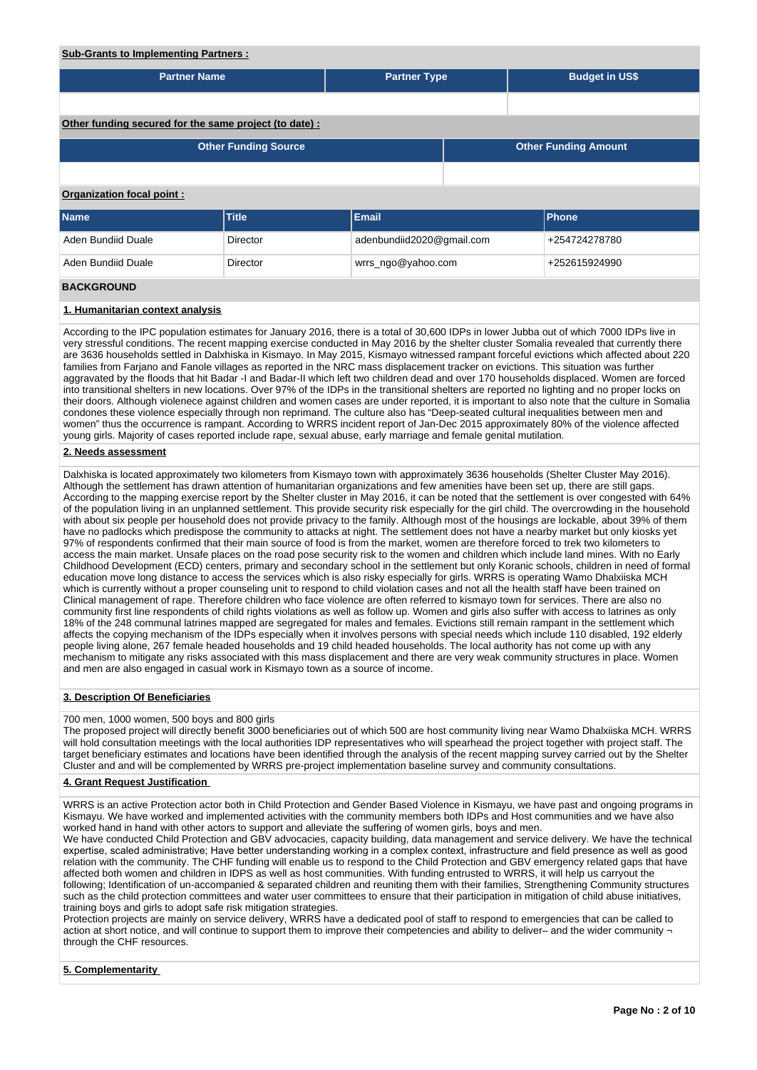# **Sub-Grants to Implementing Partners :**

| <u>cas crants to implementing raithers.</u>           |                             |                                     |  |                             |                       |  |  |  |  |
|-------------------------------------------------------|-----------------------------|-------------------------------------|--|-----------------------------|-----------------------|--|--|--|--|
| <b>Partner Name</b>                                   |                             | <b>Partner Type</b>                 |  |                             | <b>Budget in US\$</b> |  |  |  |  |
|                                                       |                             |                                     |  |                             |                       |  |  |  |  |
| Other funding secured for the same project (to date): |                             |                                     |  |                             |                       |  |  |  |  |
|                                                       | <b>Other Funding Source</b> |                                     |  | <b>Other Funding Amount</b> |                       |  |  |  |  |
|                                                       |                             |                                     |  |                             |                       |  |  |  |  |
| <b>Organization focal point:</b>                      |                             |                                     |  |                             |                       |  |  |  |  |
| <b>Name</b>                                           | Title                       | Email                               |  |                             | Phone                 |  |  |  |  |
| Aden Bundiid Duale                                    | <b>Director</b>             | adenbundiid2020@gmail.com           |  | +254724278780               |                       |  |  |  |  |
| Aden Bundiid Duale                                    | <b>Director</b>             | wrrs_ngo@yahoo.com<br>+252615924990 |  |                             |                       |  |  |  |  |
| <b>BACKGROUND</b>                                     |                             |                                     |  |                             |                       |  |  |  |  |

# **1. Humanitarian context analysis**

According to the IPC population estimates for January 2016, there is a total of 30,600 IDPs in lower Jubba out of which 7000 IDPs live in very stressful conditions. The recent mapping exercise conducted in May 2016 by the shelter cluster Somalia revealed that currently there are 3636 households settled in Dalxhiska in Kismayo. In May 2015, Kismayo witnessed rampant forceful evictions which affected about 220 families from Farjano and Fanole villages as reported in the NRC mass displacement tracker on evictions. This situation was further aggravated by the floods that hit Badar -I and Badar-II which left two children dead and over 170 households displaced. Women are forced into transitional shelters in new locations. Over 97% of the IDPs in the transitional shelters are reported no lighting and no proper locks on their doors. Although violenece against children and women cases are under reported, it is important to also note that the culture in Somalia condones these violence especially through non reprimand. The culture also has "Deep-seated cultural inequalities between men and women" thus the occurrence is rampant. According to WRRS incident report of Jan-Dec 2015 approximately 80% of the violence affected young girls. Majority of cases reported include rape, sexual abuse, early marriage and female genital mutilation.

## **2. Needs assessment**

Dalxhiska is located approximately two kilometers from Kismayo town with approximately 3636 households (Shelter Cluster May 2016). Although the settlement has drawn attention of humanitarian organizations and few amenities have been set up, there are still gaps. According to the mapping exercise report by the Shelter cluster in May 2016, it can be noted that the settlement is over congested with 64% of the population living in an unplanned settlement. This provide security risk especially for the girl child. The overcrowding in the household with about six people per household does not provide privacy to the family. Although most of the housings are lockable, about 39% of them have no padlocks which predispose the community to attacks at night. The settlement does not have a nearby market but only kiosks yet 97% of respondents confirmed that their main source of food is from the market, women are therefore forced to trek two kilometers to access the main market. Unsafe places on the road pose security risk to the women and children which include land mines. With no Early Childhood Development (ECD) centers, primary and secondary school in the settlement but only Koranic schools, children in need of formal education move long distance to access the services which is also risky especially for girls. WRRS is operating Wamo Dhalxiiska MCH which is currently without a proper counseling unit to respond to child violation cases and not all the health staff have been trained on Clinical management of rape. Therefore children who face violence are often referred to kismayo town for services. There are also no community first line respondents of child rights violations as well as follow up. Women and girls also suffer with access to latrines as only 18% of the 248 communal latrines mapped are segregated for males and females. Evictions still remain rampant in the settlement which affects the copying mechanism of the IDPs especially when it involves persons with special needs which include 110 disabled, 192 elderly people living alone, 267 female headed households and 19 child headed households. The local authority has not come up with any mechanism to mitigate any risks associated with this mass displacement and there are very weak community structures in place. Women and men are also engaged in casual work in Kismayo town as a source of income.

#### **3. Description Of Beneficiaries**

## 700 men, 1000 women, 500 boys and 800 girls

The proposed project will directly benefit 3000 beneficiaries out of which 500 are host community living near Wamo Dhalxiiska MCH. WRRS will hold consultation meetings with the local authorities IDP representatives who will spearhead the project together with project staff. The target beneficiary estimates and locations have been identified through the analysis of the recent mapping survey carried out by the Shelter Cluster and and will be complemented by WRRS pre-project implementation baseline survey and community consultations.

## **4. Grant Request Justification**

WRRS is an active Protection actor both in Child Protection and Gender Based Violence in Kismayu, we have past and ongoing programs in Kismayu. We have worked and implemented activities with the community members both IDPs and Host communities and we have also worked hand in hand with other actors to support and alleviate the suffering of women girls, boys and men.

We have conducted Child Protection and GBV advocacies, capacity building, data management and service delivery. We have the technical expertise, scaled administrative; Have better understanding working in a complex context, infrastructure and field presence as well as good relation with the community. The CHF funding will enable us to respond to the Child Protection and GBV emergency related gaps that have affected both women and children in IDPS as well as host communities. With funding entrusted to WRRS, it will help us carryout the following; Identification of un-accompanied & separated children and reuniting them with their families, Strengthening Community structures such as the child protection committees and water user committees to ensure that their participation in mitigation of child abuse initiatives, training boys and girls to adopt safe risk mitigation strategies.

Protection projects are mainly on service delivery, WRRS have a dedicated pool of staff to respond to emergencies that can be called to action at short notice, and will continue to support them to improve their competencies and ability to deliver– and the wider community through the CHF resources.

# **5. Complementarity**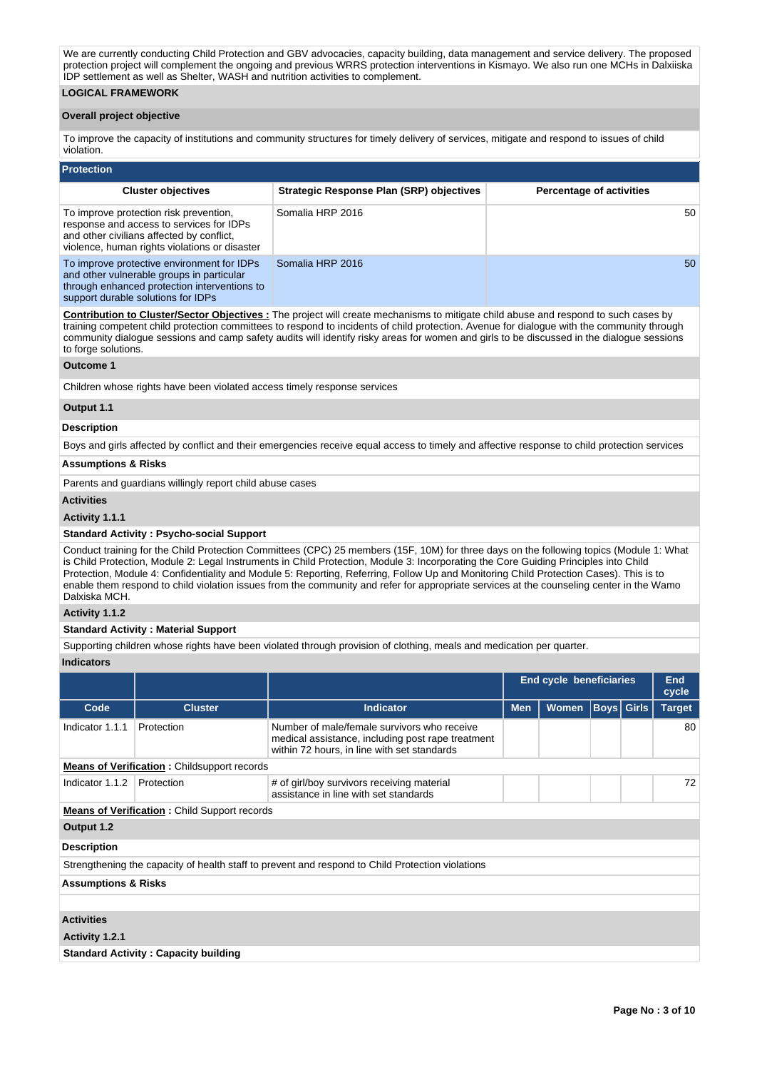We are currently conducting Child Protection and GBV advocacies, capacity building, data management and service delivery. The proposed protection project will complement the ongoing and previous WRRS protection interventions in Kismayo. We also run one MCHs in Dalxiiska IDP settlement as well as Shelter, WASH and nutrition activities to complement.

# **LOGICAL FRAMEWORK**

#### **Overall project objective**

To improve the capacity of institutions and community structures for timely delivery of services, mitigate and respond to issues of child violation.

| <b>Protection</b>                                                                                                                                                                |                                          |                                 |  |  |  |  |  |  |  |  |  |
|----------------------------------------------------------------------------------------------------------------------------------------------------------------------------------|------------------------------------------|---------------------------------|--|--|--|--|--|--|--|--|--|
| <b>Cluster objectives</b>                                                                                                                                                        | Strategic Response Plan (SRP) objectives | <b>Percentage of activities</b> |  |  |  |  |  |  |  |  |  |
| To improve protection risk prevention,<br>response and access to services for IDPs<br>and other civilians affected by conflict,<br>violence, human rights violations or disaster | Somalia HRP 2016                         | 50 <sup>°</sup>                 |  |  |  |  |  |  |  |  |  |
| To improve protective environment for IDPs<br>and other vulnerable groups in particular<br>through enhanced protection interventions to<br>support durable solutions for IDPs    | Somalia HRP 2016                         | 50                              |  |  |  |  |  |  |  |  |  |

**Contribution to Cluster/Sector Objectives :** The project will create mechanisms to mitigate child abuse and respond to such cases by training competent child protection committees to respond to incidents of child protection. Avenue for dialogue with the community through community dialogue sessions and camp safety audits will identify risky areas for women and girls to be discussed in the dialogue sessions to forge solutions.

## **Outcome 1**

Children whose rights have been violated access timely response services

#### **Output 1.1**

#### **Description**

Boys and girls affected by conflict and their emergencies receive equal access to timely and affective response to child protection services

#### **Assumptions & Risks**

Parents and guardians willingly report child abuse cases

# **Activities**

#### **Activity 1.1.1**

#### **Standard Activity : Psycho-social Support**

Conduct training for the Child Protection Committees (CPC) 25 members (15F, 10M) for three days on the following topics (Module 1: What is Child Protection, Module 2: Legal Instruments in Child Protection, Module 3: Incorporating the Core Guiding Principles into Child Protection, Module 4: Confidentiality and Module 5: Reporting, Referring, Follow Up and Monitoring Child Protection Cases). This is to enable them respond to child violation issues from the community and refer for appropriate services at the counseling center in the Wamo Dalxiska MCH.

# **Activity 1.1.2**

#### **Standard Activity : Material Support**

Supporting children whose rights have been violated through provision of clothing, meals and medication per quarter.

#### **Indicators**

|                                |                                                     |                                                                                                                                                 | <b>End cycle beneficiaries</b> |              |                   |  | End<br>cycle  |  |  |
|--------------------------------|-----------------------------------------------------|-------------------------------------------------------------------------------------------------------------------------------------------------|--------------------------------|--------------|-------------------|--|---------------|--|--|
| Code                           | <b>Cluster</b>                                      | <b>Indicator</b>                                                                                                                                | <b>Men</b>                     | <b>Women</b> | <b>Boys</b> Girls |  | <b>Target</b> |  |  |
| Indicator 1.1.1                | Protection                                          | Number of male/female survivors who receive<br>medical assistance, including post rape treatment<br>within 72 hours, in line with set standards |                                |              |                   |  | 80            |  |  |
|                                | <b>Means of Verification:</b> Childsupport records  |                                                                                                                                                 |                                |              |                   |  |               |  |  |
| Indicator 1.1.2                | Protection                                          | # of girl/boy survivors receiving material<br>assistance in line with set standards                                                             |                                |              |                   |  |               |  |  |
|                                | <b>Means of Verification:</b> Child Support records |                                                                                                                                                 |                                |              |                   |  |               |  |  |
| Output 1.2                     |                                                     |                                                                                                                                                 |                                |              |                   |  |               |  |  |
| <b>Description</b>             |                                                     |                                                                                                                                                 |                                |              |                   |  |               |  |  |
|                                |                                                     | Strengthening the capacity of health staff to prevent and respond to Child Protection violations                                                |                                |              |                   |  |               |  |  |
| <b>Assumptions &amp; Risks</b> |                                                     |                                                                                                                                                 |                                |              |                   |  |               |  |  |
|                                |                                                     |                                                                                                                                                 |                                |              |                   |  |               |  |  |
| <b>Activities</b>              |                                                     |                                                                                                                                                 |                                |              |                   |  |               |  |  |
| Activity 1.2.1                 |                                                     |                                                                                                                                                 |                                |              |                   |  |               |  |  |
|                                | <b>Standard Activity: Capacity building</b>         |                                                                                                                                                 |                                |              |                   |  |               |  |  |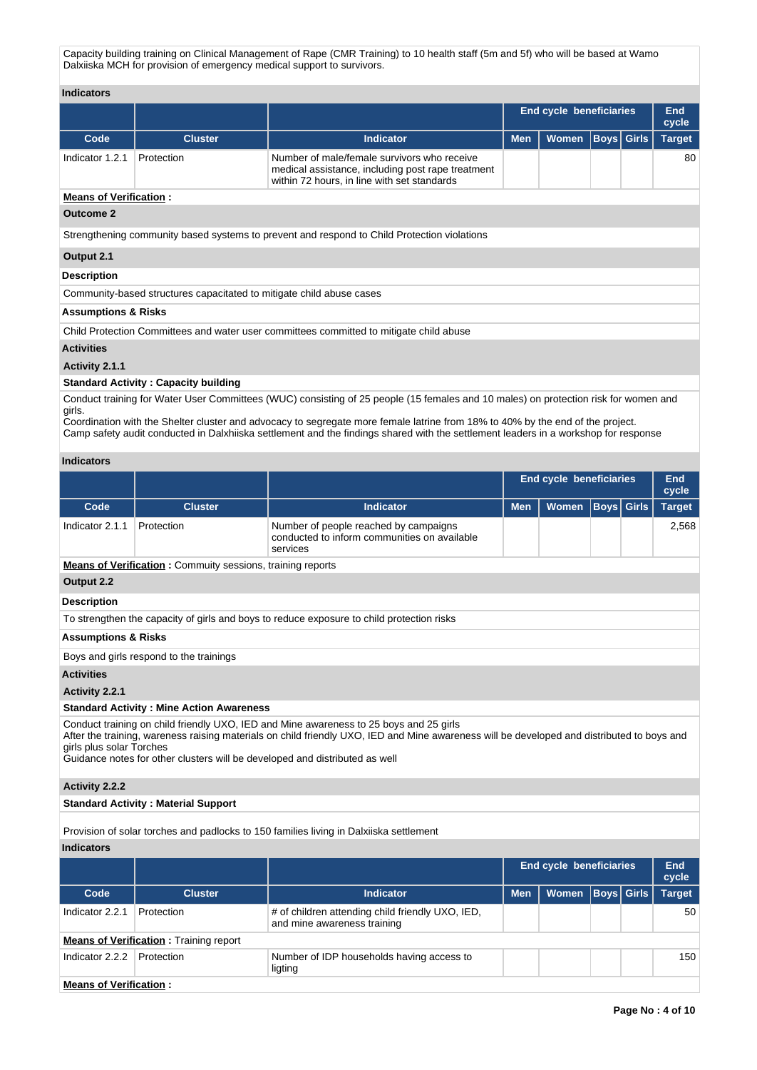Capacity building training on Clinical Management of Rape (CMR Training) to 10 health staff (5m and 5f) who will be based at Wamo Dalxiiska MCH for provision of emergency medical support to survivors.

**Indicators**

|                               |                |                                                                                                                                                 | <b>End cycle beneficiaries</b> | End<br>cycle       |  |  |               |  |  |
|-------------------------------|----------------|-------------------------------------------------------------------------------------------------------------------------------------------------|--------------------------------|--------------------|--|--|---------------|--|--|
| Code                          | <b>Cluster</b> | <b>Indicator</b>                                                                                                                                | <b>Men</b>                     | Women  Boys  Girls |  |  | <b>Target</b> |  |  |
| Indicator 1.2.1               | Protection     | Number of male/female survivors who receive<br>medical assistance, including post rape treatment<br>within 72 hours, in line with set standards |                                |                    |  |  | 80            |  |  |
| <b>Means of Verification:</b> |                |                                                                                                                                                 |                                |                    |  |  |               |  |  |
| <b>Outcome 2</b>              |                |                                                                                                                                                 |                                |                    |  |  |               |  |  |

Strengthening community based systems to prevent and respond to Child Protection violations

### **Output 2.1**

### **Description**

Community-based structures capacitated to mitigate child abuse cases

# **Assumptions & Risks**

Child Protection Committees and water user committees committed to mitigate child abuse

## **Activities**

## **Activity 2.1.1**

# **Standard Activity : Capacity building**

Conduct training for Water User Committees (WUC) consisting of 25 people (15 females and 10 males) on protection risk for women and girls.

Coordination with the Shelter cluster and advocacy to segregate more female latrine from 18% to 40% by the end of the project. Camp safety audit conducted in Dalxhiiska settlement and the findings shared with the settlement leaders in a workshop for response

### **Indicators**

|                                                                                                                                                                                                                                                                                                                                                 |                                                                   |                                                                                                   | <b>End cycle beneficiaries</b> |              |                |               | End<br>cycle |  |  |
|-------------------------------------------------------------------------------------------------------------------------------------------------------------------------------------------------------------------------------------------------------------------------------------------------------------------------------------------------|-------------------------------------------------------------------|---------------------------------------------------------------------------------------------------|--------------------------------|--------------|----------------|---------------|--------------|--|--|
| Code                                                                                                                                                                                                                                                                                                                                            | <b>Cluster</b>                                                    | <b>Indicator</b>                                                                                  | <b>Men</b>                     | <b>Women</b> | Girls<br> Boys | <b>Target</b> |              |  |  |
| Indicator 2.1.1                                                                                                                                                                                                                                                                                                                                 | Protection                                                        | Number of people reached by campaigns<br>conducted to inform communities on available<br>services |                                |              |                |               | 2,568        |  |  |
|                                                                                                                                                                                                                                                                                                                                                 | <b>Means of Verification:</b> Commuity sessions, training reports |                                                                                                   |                                |              |                |               |              |  |  |
| Output 2.2                                                                                                                                                                                                                                                                                                                                      |                                                                   |                                                                                                   |                                |              |                |               |              |  |  |
| <b>Description</b>                                                                                                                                                                                                                                                                                                                              |                                                                   |                                                                                                   |                                |              |                |               |              |  |  |
|                                                                                                                                                                                                                                                                                                                                                 |                                                                   | To strengthen the capacity of girls and boys to reduce exposure to child protection risks         |                                |              |                |               |              |  |  |
| <b>Assumptions &amp; Risks</b>                                                                                                                                                                                                                                                                                                                  |                                                                   |                                                                                                   |                                |              |                |               |              |  |  |
|                                                                                                                                                                                                                                                                                                                                                 | Boys and girls respond to the trainings                           |                                                                                                   |                                |              |                |               |              |  |  |
| <b>Activities</b>                                                                                                                                                                                                                                                                                                                               |                                                                   |                                                                                                   |                                |              |                |               |              |  |  |
| Activity 2.2.1                                                                                                                                                                                                                                                                                                                                  |                                                                   |                                                                                                   |                                |              |                |               |              |  |  |
|                                                                                                                                                                                                                                                                                                                                                 | <b>Standard Activity: Mine Action Awareness</b>                   |                                                                                                   |                                |              |                |               |              |  |  |
| Conduct training on child friendly UXO, IED and Mine awareness to 25 boys and 25 girls<br>After the training, wareness raising materials on child friendly UXO, IED and Mine awareness will be developed and distributed to boys and<br>girls plus solar Torches<br>Guidance notes for other clusters will be developed and distributed as well |                                                                   |                                                                                                   |                                |              |                |               |              |  |  |
| <b>Activity 2.2.2</b>                                                                                                                                                                                                                                                                                                                           |                                                                   |                                                                                                   |                                |              |                |               |              |  |  |
|                                                                                                                                                                                                                                                                                                                                                 | <b>Standard Activity: Material Support</b>                        |                                                                                                   |                                |              |                |               |              |  |  |

Provision of solar torches and padlocks to 150 families living in Dalxiiska settlement

## **Indicators**

|                               |                                               |                                                                                 | <b>End cycle beneficiaries</b> |              |  |                   | End<br>cycle  |
|-------------------------------|-----------------------------------------------|---------------------------------------------------------------------------------|--------------------------------|--------------|--|-------------------|---------------|
| Code                          | <b>Cluster</b>                                | <b>Indicator</b>                                                                | <b>Men</b>                     | <b>Women</b> |  | <b>Boys Girls</b> | <b>Target</b> |
| Indicator 2.2.1               | Protection                                    | # of children attending child friendly UXO, IED,<br>and mine awareness training |                                |              |  |                   | 50            |
|                               | <b>Means of Verification: Training report</b> |                                                                                 |                                |              |  |                   |               |
| Indicator 2.2.2               | Protection                                    | Number of IDP households having access to<br>ligting                            |                                |              |  |                   | 150           |
| <b>Means of Verification:</b> |                                               |                                                                                 |                                |              |  |                   |               |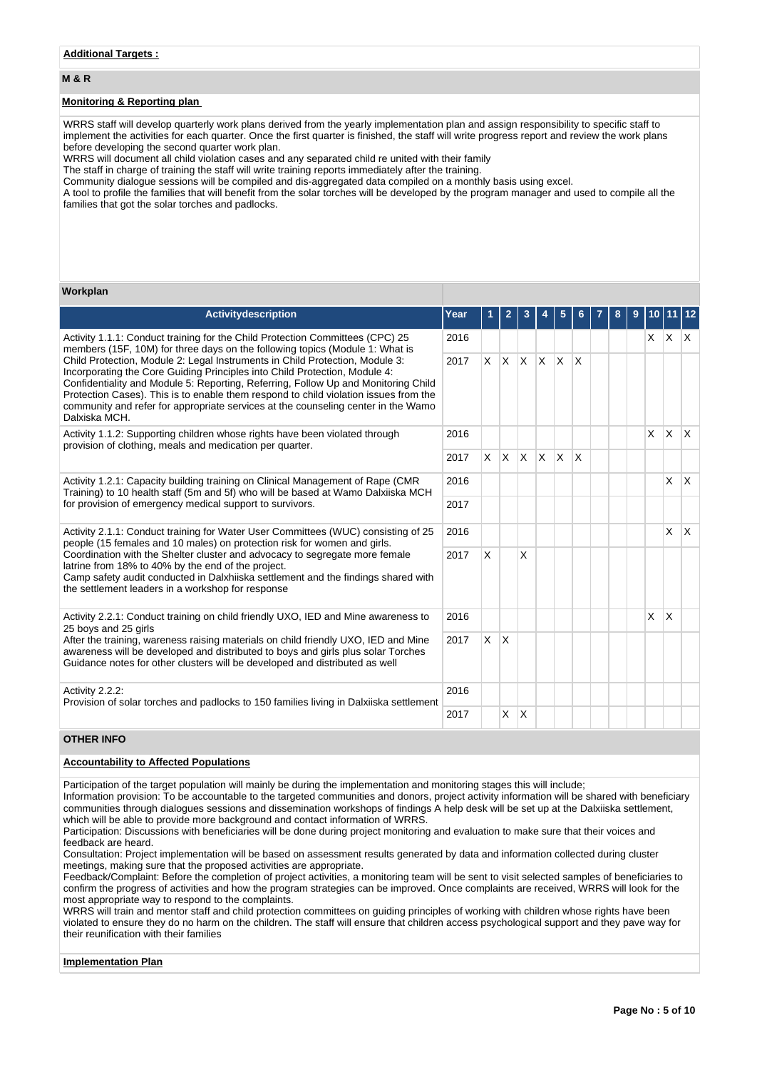## **M & R**

## **Monitoring & Reporting plan**

WRRS staff will develop quarterly work plans derived from the yearly implementation plan and assign responsibility to specific staff to implement the activities for each quarter. Once the first quarter is finished, the staff will write progress report and review the work plans before developing the second quarter work plan.

WRRS will document all child violation cases and any separated child re united with their family

The staff in charge of training the staff will write training reports immediately after the training.

Community dialogue sessions will be compiled and dis-aggregated data compiled on a monthly basis using excel.

A tool to profile the families that will benefit from the solar torches will be developed by the program manager and used to compile all the families that got the solar torches and padlocks.

#### **Workplan**

| <b>Activitydescription</b>                                                                                                                                                                                                                                                                                                                                                                                                                                                                                                                                                                                      | Year |          | 2            | 3  | 5            |          | 8 | 9 |          |                         |              |
|-----------------------------------------------------------------------------------------------------------------------------------------------------------------------------------------------------------------------------------------------------------------------------------------------------------------------------------------------------------------------------------------------------------------------------------------------------------------------------------------------------------------------------------------------------------------------------------------------------------------|------|----------|--------------|----|--------------|----------|---|---|----------|-------------------------|--------------|
| Activity 1.1.1: Conduct training for the Child Protection Committees (CPC) 25<br>members (15F, 10M) for three days on the following topics (Module 1: What is<br>Child Protection, Module 2: Legal Instruments in Child Protection, Module 3:<br>Incorporating the Core Guiding Principles into Child Protection, Module 4:<br>Confidentiality and Module 5: Reporting, Referring, Follow Up and Monitoring Child<br>Protection Cases). This is to enable them respond to child violation issues from the<br>community and refer for appropriate services at the counseling center in the Wamo<br>Dalxiska MCH. |      |          |              |    |              |          |   |   | X.       | X X                     |              |
|                                                                                                                                                                                                                                                                                                                                                                                                                                                                                                                                                                                                                 |      | <b>X</b> | $x \times x$ |    | <b>X</b>     | $\times$ |   |   |          |                         |              |
| Activity 1.1.2: Supporting children whose rights have been violated through<br>provision of clothing, meals and medication per quarter.                                                                                                                                                                                                                                                                                                                                                                                                                                                                         |      |          |              |    |              |          |   |   | $\times$ | <b>X</b>                | $\mathsf{X}$ |
|                                                                                                                                                                                                                                                                                                                                                                                                                                                                                                                                                                                                                 |      | X.       | $X \times X$ |    | <sup>X</sup> | ΙX       |   |   |          |                         |              |
| Activity 1.2.1: Capacity building training on Clinical Management of Rape (CMR<br>Training) to 10 health staff (5m and 5f) who will be based at Wamo Dalxiiska MCH                                                                                                                                                                                                                                                                                                                                                                                                                                              |      |          |              |    |              |          |   |   |          | $\mathsf{X}$            | <sup>X</sup> |
| for provision of emergency medical support to survivors.                                                                                                                                                                                                                                                                                                                                                                                                                                                                                                                                                        | 2017 |          |              |    |              |          |   |   |          |                         |              |
| Activity 2.1.1: Conduct training for Water User Committees (WUC) consisting of 25                                                                                                                                                                                                                                                                                                                                                                                                                                                                                                                               | 2016 |          |              |    |              |          |   |   |          | X                       | $\mathsf{X}$ |
| people (15 females and 10 males) on protection risk for women and girls.<br>Coordination with the Shelter cluster and advocacy to segregate more female<br>latrine from 18% to 40% by the end of the project.<br>Camp safety audit conducted in Dalxhiiska settlement and the findings shared with<br>the settlement leaders in a workshop for response                                                                                                                                                                                                                                                         | 2017 | X        |              | X  |              |          |   |   |          |                         |              |
| Activity 2.2.1: Conduct training on child friendly UXO, IED and Mine awareness to<br>25 boys and 25 girls                                                                                                                                                                                                                                                                                                                                                                                                                                                                                                       | 2016 |          |              |    |              |          |   |   | X        | $\overline{\mathsf{x}}$ |              |
| After the training, wareness raising materials on child friendly UXO, IED and Mine<br>2017<br>awareness will be developed and distributed to boys and girls plus solar Torches<br>Guidance notes for other clusters will be developed and distributed as well                                                                                                                                                                                                                                                                                                                                                   |      | <b>X</b> | X            |    |              |          |   |   |          |                         |              |
| Activity 2.2.2:<br>Provision of solar torches and padlocks to 150 families living in Dalxiiska settlement                                                                                                                                                                                                                                                                                                                                                                                                                                                                                                       | 2016 |          |              |    |              |          |   |   |          |                         |              |
|                                                                                                                                                                                                                                                                                                                                                                                                                                                                                                                                                                                                                 | 2017 |          | X            | ΙX |              |          |   |   |          |                         |              |

# **OTHER INFO**

#### **Accountability to Affected Populations**

Participation of the target population will mainly be during the implementation and monitoring stages this will include;

Information provision: To be accountable to the targeted communities and donors, project activity information will be shared with beneficiary communities through dialogues sessions and dissemination workshops of findings A help desk will be set up at the Dalxiiska settlement, which will be able to provide more background and contact information of WRRS.

Participation: Discussions with beneficiaries will be done during project monitoring and evaluation to make sure that their voices and feedback are heard.

Consultation: Project implementation will be based on assessment results generated by data and information collected during cluster meetings, making sure that the proposed activities are appropriate.

Feedback/Complaint: Before the completion of project activities, a monitoring team will be sent to visit selected samples of beneficiaries to confirm the progress of activities and how the program strategies can be improved. Once complaints are received, WRRS will look for the most appropriate way to respond to the complaints.

WRRS will train and mentor staff and child protection committees on guiding principles of working with children whose rights have been violated to ensure they do no harm on the children. The staff will ensure that children access psychological support and they pave way for their reunification with their families

### **Implementation Plan**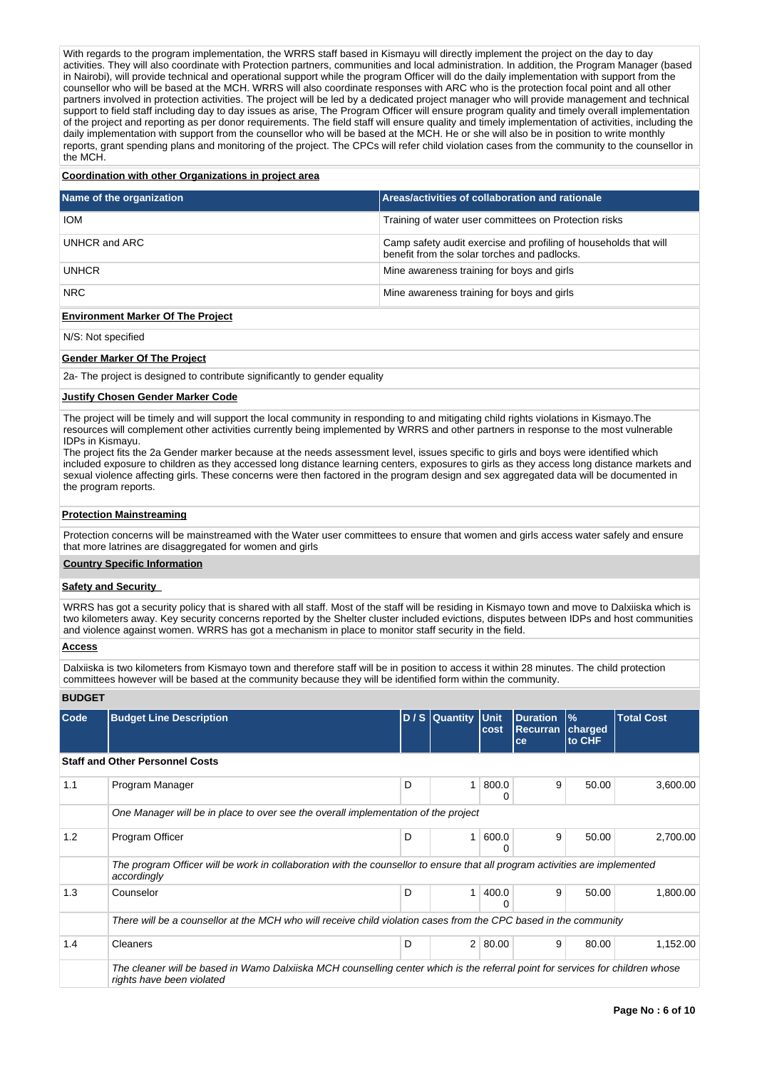With regards to the program implementation, the WRRS staff based in Kismayu will directly implement the project on the day to day activities. They will also coordinate with Protection partners, communities and local administration. In addition, the Program Manager (based in Nairobi), will provide technical and operational support while the program Officer will do the daily implementation with support from the counsellor who will be based at the MCH. WRRS will also coordinate responses with ARC who is the protection focal point and all other partners involved in protection activities. The project will be led by a dedicated project manager who will provide management and technical support to field staff including day to day issues as arise, The Program Officer will ensure program quality and timely overall implementation of the project and reporting as per donor requirements. The field staff will ensure quality and timely implementation of activities, including the daily implementation with support from the counsellor who will be based at the MCH. He or she will also be in position to write monthly reports, grant spending plans and monitoring of the project. The CPCs will refer child violation cases from the community to the counsellor in the MCH.

## **Coordination with other Organizations in project area**

| Name of the organization | Areas/activities of collaboration and rationale                                                                  |
|--------------------------|------------------------------------------------------------------------------------------------------------------|
| <b>IOM</b>               | Training of water user committees on Protection risks                                                            |
| UNHCR and ARC            | Camp safety audit exercise and profiling of households that will<br>benefit from the solar torches and padlocks. |
| <b>UNHCR</b>             | Mine awareness training for boys and girls                                                                       |
| <b>NRC</b>               | Mine awareness training for boys and girls                                                                       |

#### **Environment Marker Of The Project**

N/S: Not specified

## **Gender Marker Of The Project**

2a- The project is designed to contribute significantly to gender equality

#### **Justify Chosen Gender Marker Code**

The project will be timely and will support the local community in responding to and mitigating child rights violations in Kismayo.The resources will complement other activities currently being implemented by WRRS and other partners in response to the most vulnerable IDPs in Kismayu.

The project fits the 2a Gender marker because at the needs assessment level, issues specific to girls and boys were identified which included exposure to children as they accessed long distance learning centers, exposures to girls as they access long distance markets and sexual violence affecting girls. These concerns were then factored in the program design and sex aggregated data will be documented in the program reports.

#### **Protection Mainstreaming**

Protection concerns will be mainstreamed with the Water user committees to ensure that women and girls access water safely and ensure that more latrines are disaggregated for women and girls

### **Country Specific Information**

#### **Safety and Security**

WRRS has got a security policy that is shared with all staff. Most of the staff will be residing in Kismayo town and move to Dalxiiska which is two kilometers away. Key security concerns reported by the Shelter cluster included evictions, disputes between IDPs and host communities and violence against women. WRRS has got a mechanism in place to monitor staff security in the field.

# **Access**

Dalxiiska is two kilometers from Kismayo town and therefore staff will be in position to access it within 28 minutes. The child protection committees however will be based at the community because they will be identified form within the community.

# **BUDGET**

| Code | <b>Budget Line Description</b>                                                                                                                              |   | D / S Quantity Unit | cost       | <b>Duration</b><br><b>Recurran</b><br>ce | $\frac{9}{6}$<br>charged<br>to CHF | <b>Total Cost</b> |  |  |  |  |  |
|------|-------------------------------------------------------------------------------------------------------------------------------------------------------------|---|---------------------|------------|------------------------------------------|------------------------------------|-------------------|--|--|--|--|--|
|      | <b>Staff and Other Personnel Costs</b>                                                                                                                      |   |                     |            |                                          |                                    |                   |  |  |  |  |  |
| 1.1  | Program Manager                                                                                                                                             | D | 1                   | 800.0<br>O | 9                                        | 50.00                              | 3,600.00          |  |  |  |  |  |
|      | One Manager will be in place to over see the overall implementation of the project                                                                          |   |                     |            |                                          |                                    |                   |  |  |  |  |  |
| 1.2  | Program Officer                                                                                                                                             | D | 1                   | 600.0<br>0 | 9                                        | 50.00                              | 2,700.00          |  |  |  |  |  |
|      | The program Officer will be work in collaboration with the counsellor to ensure that all program activities are implemented<br>accordingly                  |   |                     |            |                                          |                                    |                   |  |  |  |  |  |
| 1.3  | Counselor                                                                                                                                                   | D | 1                   | 400.0      | 9                                        | 50.00                              | 1,800.00          |  |  |  |  |  |
|      | There will be a counsellor at the MCH who will receive child violation cases from the CPC based in the community                                            |   |                     |            |                                          |                                    |                   |  |  |  |  |  |
| 1.4  | <b>Cleaners</b>                                                                                                                                             | D |                     | 2   80.00  | 9                                        | 80.00                              | 1,152.00          |  |  |  |  |  |
|      | The cleaner will be based in Wamo Dalxiiska MCH counselling center which is the referral point for services for children whose<br>rights have been violated |   |                     |            |                                          |                                    |                   |  |  |  |  |  |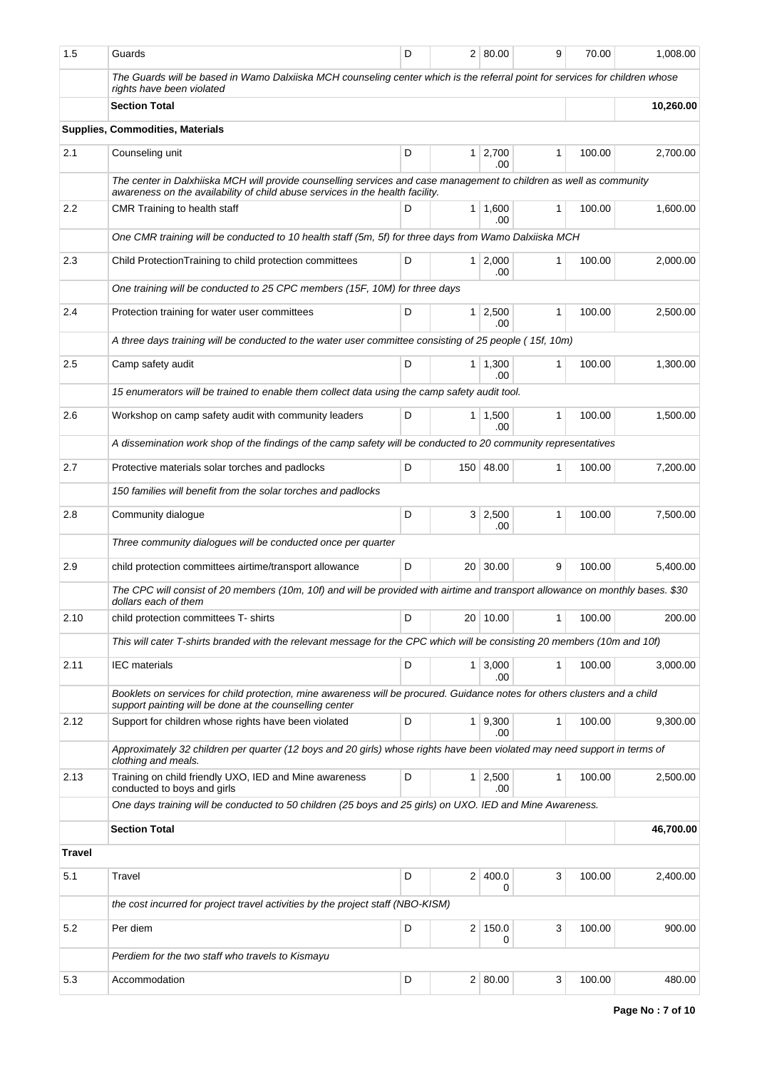| 1.5           | Guards                                                                                                                                                                                               | D |                 | 2 80.00               | 9            | 70.00      | 1,008.00  |  |
|---------------|------------------------------------------------------------------------------------------------------------------------------------------------------------------------------------------------------|---|-----------------|-----------------------|--------------|------------|-----------|--|
|               | The Guards will be based in Wamo Dalxiiska MCH counseling center which is the referral point for services for children whose<br>rights have been violated                                            |   |                 |                       |              |            |           |  |
|               | <b>Section Total</b><br>10,260.00                                                                                                                                                                    |   |                 |                       |              |            |           |  |
|               | Supplies, Commodities, Materials                                                                                                                                                                     |   |                 |                       |              |            |           |  |
| 2.1           | Counseling unit                                                                                                                                                                                      | D | 1 <sup>1</sup>  | 2,700<br>.00          | 1            | 100.00     | 2,700.00  |  |
|               | The center in Dalxhiiska MCH will provide counselling services and case management to children as well as community<br>awareness on the availability of child abuse services in the health facility. |   |                 |                       |              |            |           |  |
| $2.2\,$       | CMR Training to health staff                                                                                                                                                                         | D |                 | 1 1,600<br>.00        | 1            | 100.00     | 1,600.00  |  |
|               | One CMR training will be conducted to 10 health staff (5m, 5f) for three days from Wamo Dalxiiska MCH                                                                                                |   |                 |                       |              |            |           |  |
| 2.3           | Child Protection Training to child protection committees                                                                                                                                             | D | 1 <sup>1</sup>  | 2,000<br>.00          | 1            | 100.00     | 2,000.00  |  |
|               | One training will be conducted to 25 CPC members (15F, 10M) for three days                                                                                                                           |   |                 |                       |              |            |           |  |
| 2.4           | Protection training for water user committees                                                                                                                                                        | D | 1 <sup>1</sup>  | 2,500<br>.00          | $\mathbf{1}$ | 100.00     | 2,500.00  |  |
|               | A three days training will be conducted to the water user committee consisting of 25 people (15f, 10m)                                                                                               |   |                 |                       |              |            |           |  |
| 2.5           | Camp safety audit                                                                                                                                                                                    | D |                 | $1 \mid 1,300$<br>.00 | $\mathbf{1}$ | 100.00     | 1,300.00  |  |
|               | 15 enumerators will be trained to enable them collect data using the camp safety audit tool.                                                                                                         |   |                 |                       |              |            |           |  |
| 2.6           | Workshop on camp safety audit with community leaders                                                                                                                                                 | D | $\mathbf{1}$    | 1,500<br>.00          | 1            | 100.00     | 1,500.00  |  |
|               | A dissemination work shop of the findings of the camp safety will be conducted to 20 community representatives                                                                                       |   |                 |                       |              |            |           |  |
| 2.7           | Protective materials solar torches and padlocks                                                                                                                                                      | D |                 | 150 48.00             | 1            | 100.00     | 7,200.00  |  |
|               | 150 families will benefit from the solar torches and padlocks                                                                                                                                        |   |                 |                       |              |            |           |  |
| 2.8           | Community dialogue                                                                                                                                                                                   | D |                 | 3   2,500<br>.00      | 1            | 100.00     | 7,500.00  |  |
|               | Three community dialogues will be conducted once per quarter                                                                                                                                         |   |                 |                       |              |            |           |  |
| 2.9           | child protection committees airtime/transport allowance                                                                                                                                              | D | 20 <sup>1</sup> | 30.00                 | 9            | 100.00     | 5,400.00  |  |
|               | The CPC will consist of 20 members (10m, 10f) and will be provided with airtime and transport allowance on monthly bases. \$30<br>dollars each of them                                               |   |                 |                       |              |            |           |  |
| 2.10          | child protection committees T- shirts                                                                                                                                                                |   |                 | 20 10.00              |              | 1   100.00 | 200.00    |  |
|               | This will cater T-shirts branded with the relevant message for the CPC which will be consisting 20 members (10m and 10f)                                                                             |   |                 |                       |              |            |           |  |
| 2.11          | <b>IEC</b> materials                                                                                                                                                                                 | D |                 | $1 \mid 3,000$<br>.00 | 1            | 100.00     | 3,000.00  |  |
|               | Booklets on services for child protection, mine awareness will be procured. Guidance notes for others clusters and a child<br>support painting will be done at the counselling center                |   |                 |                       |              |            |           |  |
| 2.12          | Support for children whose rights have been violated                                                                                                                                                 | D | $\mathbf{1}$    | 9,300<br>.00          | 1            | 100.00     | 9,300.00  |  |
|               | Approximately 32 children per quarter (12 boys and 20 girls) whose rights have been violated may need support in terms of<br>clothing and meals.                                                     |   |                 |                       |              |            |           |  |
| 2.13          | Training on child friendly UXO, IED and Mine awareness<br>conducted to boys and girls                                                                                                                | D |                 | $1 \mid 2,500$<br>.00 | 1            | 100.00     | 2,500.00  |  |
|               | One days training will be conducted to 50 children (25 boys and 25 girls) on UXO. IED and Mine Awareness.                                                                                            |   |                 |                       |              |            |           |  |
|               | <b>Section Total</b>                                                                                                                                                                                 |   |                 |                       |              |            | 46,700.00 |  |
| <b>Travel</b> |                                                                                                                                                                                                      |   |                 |                       |              |            |           |  |
| 5.1           | Travel                                                                                                                                                                                               | D |                 | 2 400.0<br>0          | 3            | 100.00     | 2,400.00  |  |
|               | the cost incurred for project travel activities by the project staff (NBO-KISM)                                                                                                                      |   |                 |                       |              |            |           |  |
| 5.2           | Per diem                                                                                                                                                                                             | D |                 | $2 \mid 150.0$<br>0   | 3            | 100.00     | 900.00    |  |
|               | Perdiem for the two staff who travels to Kismayu                                                                                                                                                     |   |                 |                       |              |            |           |  |
| 5.3           | Accommodation                                                                                                                                                                                        | D |                 | 2   80.00             | 3            | 100.00     | 480.00    |  |
|               |                                                                                                                                                                                                      |   |                 |                       |              |            |           |  |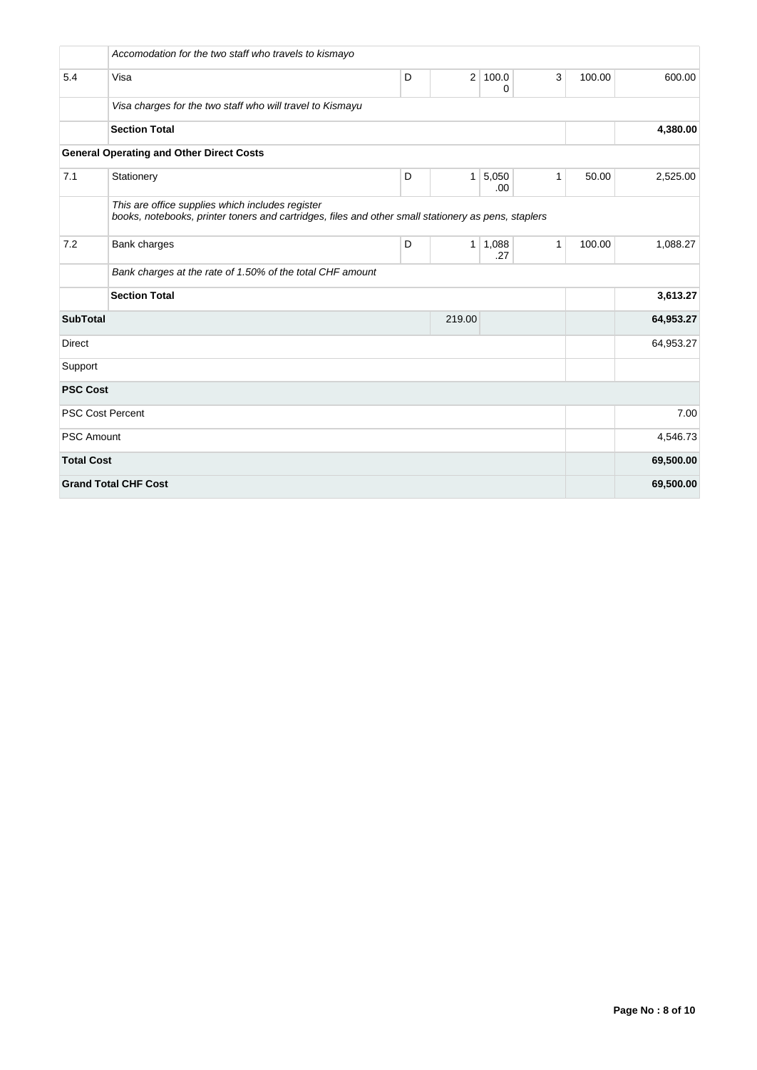|                   | Accomodation for the two staff who travels to kismayo                                                                                                   |   |                |              |              |        |           |  |  |  |
|-------------------|---------------------------------------------------------------------------------------------------------------------------------------------------------|---|----------------|--------------|--------------|--------|-----------|--|--|--|
| 5.4               | Visa                                                                                                                                                    | D | $\overline{2}$ | 100.0<br>0   | 3            | 100.00 | 600.00    |  |  |  |
|                   | Visa charges for the two staff who will travel to Kismayu                                                                                               |   |                |              |              |        |           |  |  |  |
|                   | <b>Section Total</b>                                                                                                                                    |   |                |              |              |        | 4,380.00  |  |  |  |
|                   | <b>General Operating and Other Direct Costs</b>                                                                                                         |   |                |              |              |        |           |  |  |  |
| 7.1               | Stationery                                                                                                                                              | D | 1              | 5,050<br>.00 | $\mathbf{1}$ | 50.00  | 2,525.00  |  |  |  |
|                   | This are office supplies which includes register<br>books, notebooks, printer toners and cartridges, files and other small stationery as pens, staplers |   |                |              |              |        |           |  |  |  |
| 7.2               | Bank charges                                                                                                                                            | D | 1              | 1,088<br>.27 | $\mathbf{1}$ | 100.00 | 1,088.27  |  |  |  |
|                   | Bank charges at the rate of 1.50% of the total CHF amount                                                                                               |   |                |              |              |        |           |  |  |  |
|                   | <b>Section Total</b>                                                                                                                                    |   |                |              |              |        |           |  |  |  |
| <b>SubTotal</b>   |                                                                                                                                                         |   | 219.00         |              |              |        | 64,953.27 |  |  |  |
| <b>Direct</b>     |                                                                                                                                                         |   |                |              |              |        | 64,953.27 |  |  |  |
| Support           |                                                                                                                                                         |   |                |              |              |        |           |  |  |  |
| <b>PSC Cost</b>   |                                                                                                                                                         |   |                |              |              |        |           |  |  |  |
|                   | <b>PSC Cost Percent</b>                                                                                                                                 |   |                |              |              |        | 7.00      |  |  |  |
| <b>PSC Amount</b> |                                                                                                                                                         |   |                |              |              |        | 4,546.73  |  |  |  |
| <b>Total Cost</b> |                                                                                                                                                         |   |                |              |              |        | 69,500.00 |  |  |  |
|                   | <b>Grand Total CHF Cost</b>                                                                                                                             |   |                |              |              |        | 69,500.00 |  |  |  |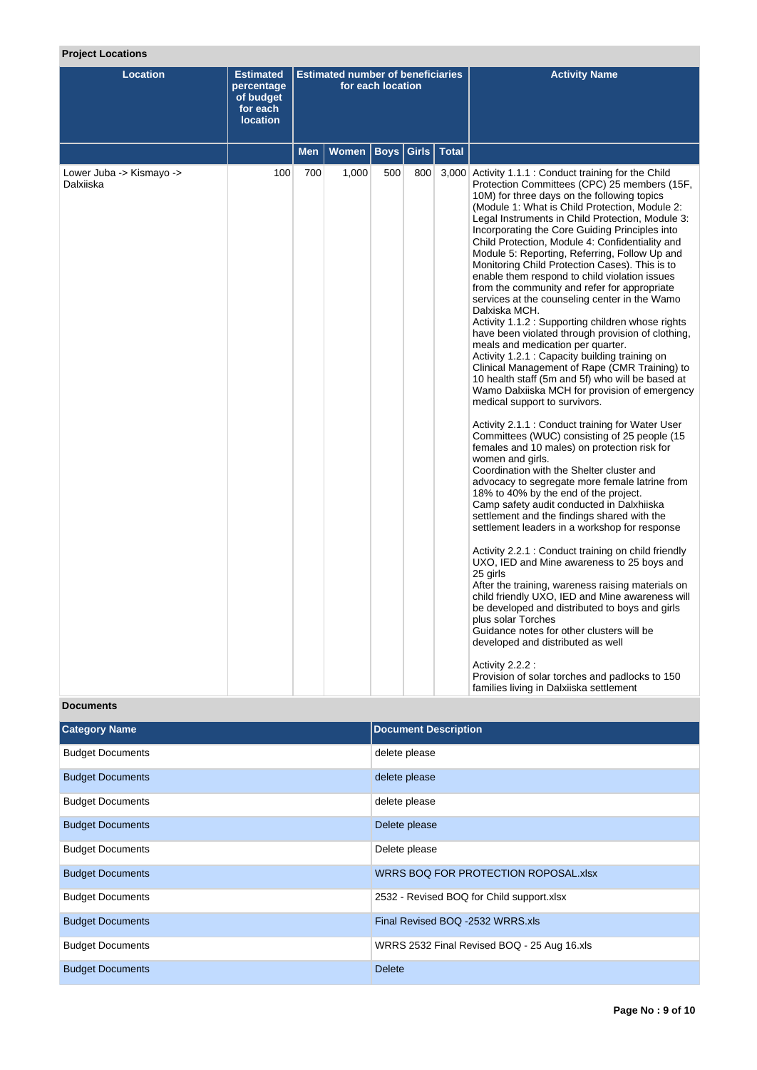# **Project Locations**

| <b>Location</b>                       | <b>Estimated</b><br>percentage<br>of budget<br>for each<br><b>location</b> | <b>Estimated number of beneficiaries</b><br>for each location |              |             |       |              | <b>Activity Name</b>                                                                                                                                                                                                                                                                                                                                                                                                                                                                                                                                                                                                                                                                                                                                                                                                                                                                                                                                                                                                                                                                                                                                                                                                                                                                                                                                                                                                                                                                                                                                                                                                                                                                                                                                                                                                                                                                                                                                                                       |
|---------------------------------------|----------------------------------------------------------------------------|---------------------------------------------------------------|--------------|-------------|-------|--------------|--------------------------------------------------------------------------------------------------------------------------------------------------------------------------------------------------------------------------------------------------------------------------------------------------------------------------------------------------------------------------------------------------------------------------------------------------------------------------------------------------------------------------------------------------------------------------------------------------------------------------------------------------------------------------------------------------------------------------------------------------------------------------------------------------------------------------------------------------------------------------------------------------------------------------------------------------------------------------------------------------------------------------------------------------------------------------------------------------------------------------------------------------------------------------------------------------------------------------------------------------------------------------------------------------------------------------------------------------------------------------------------------------------------------------------------------------------------------------------------------------------------------------------------------------------------------------------------------------------------------------------------------------------------------------------------------------------------------------------------------------------------------------------------------------------------------------------------------------------------------------------------------------------------------------------------------------------------------------------------------|
|                                       |                                                                            | Men                                                           | <b>Women</b> | <b>Boys</b> | Girls | <b>Total</b> |                                                                                                                                                                                                                                                                                                                                                                                                                                                                                                                                                                                                                                                                                                                                                                                                                                                                                                                                                                                                                                                                                                                                                                                                                                                                                                                                                                                                                                                                                                                                                                                                                                                                                                                                                                                                                                                                                                                                                                                            |
| Lower Juba -> Kismayo -><br>Dalxiiska | 100                                                                        | 700                                                           | 1,000        | 500         | 800   |              | 3,000 Activity 1.1.1 : Conduct training for the Child<br>Protection Committees (CPC) 25 members (15F,<br>10M) for three days on the following topics<br>(Module 1: What is Child Protection, Module 2:<br>Legal Instruments in Child Protection, Module 3:<br>Incorporating the Core Guiding Principles into<br>Child Protection, Module 4: Confidentiality and<br>Module 5: Reporting, Referring, Follow Up and<br>Monitoring Child Protection Cases). This is to<br>enable them respond to child violation issues<br>from the community and refer for appropriate<br>services at the counseling center in the Wamo<br>Dalxiska MCH.<br>Activity 1.1.2: Supporting children whose rights<br>have been violated through provision of clothing,<br>meals and medication per quarter.<br>Activity 1.2.1: Capacity building training on<br>Clinical Management of Rape (CMR Training) to<br>10 health staff (5m and 5f) who will be based at<br>Wamo Dalxiiska MCH for provision of emergency<br>medical support to survivors.<br>Activity 2.1.1: Conduct training for Water User<br>Committees (WUC) consisting of 25 people (15<br>females and 10 males) on protection risk for<br>women and girls.<br>Coordination with the Shelter cluster and<br>advocacy to segregate more female latrine from<br>18% to 40% by the end of the project.<br>Camp safety audit conducted in Dalxhiiska<br>settlement and the findings shared with the<br>settlement leaders in a workshop for response<br>Activity 2.2.1: Conduct training on child friendly<br>UXO, IED and Mine awareness to 25 boys and<br>25 girls<br>After the training, wareness raising materials on<br>child friendly UXO, IED and Mine awareness will<br>be developed and distributed to boys and girls<br>plus solar Torches<br>Guidance notes for other clusters will be<br>developed and distributed as well<br>Activity 2.2.2 :<br>Provision of solar torches and padlocks to 150<br>families living in Dalxiiska settlement |

# **Documents**

| <b>Category Name</b>    | <b>Document Description</b>                 |
|-------------------------|---------------------------------------------|
| <b>Budget Documents</b> | delete please                               |
| <b>Budget Documents</b> | delete please                               |
| <b>Budget Documents</b> | delete please                               |
| <b>Budget Documents</b> | Delete please                               |
| <b>Budget Documents</b> | Delete please                               |
| <b>Budget Documents</b> | WRRS BOQ FOR PROTECTION ROPOSAL.xlsx        |
| <b>Budget Documents</b> | 2532 - Revised BOQ for Child support.xlsx   |
| <b>Budget Documents</b> | Final Revised BOQ -2532 WRRS.xls            |
| <b>Budget Documents</b> | WRRS 2532 Final Revised BOQ - 25 Aug 16.xls |
| <b>Budget Documents</b> | <b>Delete</b>                               |